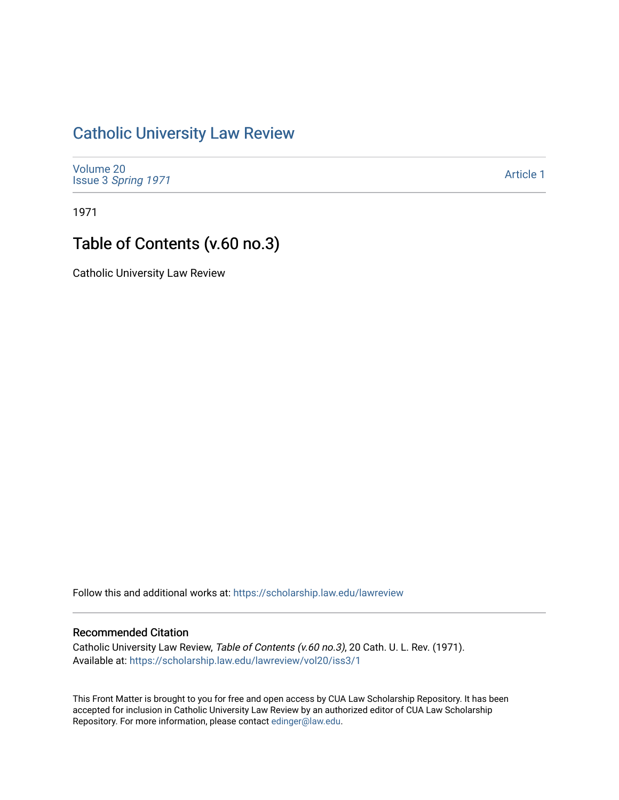## [Catholic University Law Review](https://scholarship.law.edu/lawreview)

[Volume 20](https://scholarship.law.edu/lawreview/vol20) Issue 3 [Spring 1971](https://scholarship.law.edu/lawreview/vol20/iss3) 

[Article 1](https://scholarship.law.edu/lawreview/vol20/iss3/1) 

1971

## Table of Contents (v.60 no.3)

Catholic University Law Review

Follow this and additional works at: [https://scholarship.law.edu/lawreview](https://scholarship.law.edu/lawreview?utm_source=scholarship.law.edu%2Flawreview%2Fvol20%2Fiss3%2F1&utm_medium=PDF&utm_campaign=PDFCoverPages)

## Recommended Citation

Catholic University Law Review, Table of Contents (v.60 no.3), 20 Cath. U. L. Rev. (1971). Available at: [https://scholarship.law.edu/lawreview/vol20/iss3/1](https://scholarship.law.edu/lawreview/vol20/iss3/1?utm_source=scholarship.law.edu%2Flawreview%2Fvol20%2Fiss3%2F1&utm_medium=PDF&utm_campaign=PDFCoverPages)

This Front Matter is brought to you for free and open access by CUA Law Scholarship Repository. It has been accepted for inclusion in Catholic University Law Review by an authorized editor of CUA Law Scholarship Repository. For more information, please contact [edinger@law.edu.](mailto:edinger@law.edu)